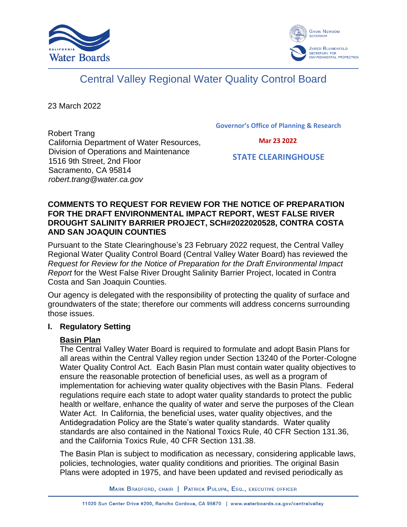



# Central Valley Regional Water Quality Control Board

23 March 2022

Robert Trang California Department of Water Resources, Division of Operations and Maintenance 1516 9th Street, 2nd Floor Sacramento, CA 95814 *robert.trang@water.ca.gov*

**Governor's Office of Planning & Research**

 **Mar 23 2022**

 **STATE CLEARINGHOUSE**

#### **COMMENTS TO REQUEST FOR REVIEW FOR THE NOTICE OF PREPARATION FOR THE DRAFT ENVIRONMENTAL IMPACT REPORT, WEST FALSE RIVER DROUGHT SALINITY BARRIER PROJECT, SCH#2022020528, CONTRA COSTA AND SAN JOAQUIN COUNTIES**

Pursuant to the State Clearinghouse's 23 February 2022 request, the Central Valley Regional Water Quality Control Board (Central Valley Water Board) has reviewed the *Request for Review for the Notice of Preparation for the Draft Environmental Impact Report* for the West False River Drought Salinity Barrier Project, located in Contra Costa and San Joaquin Counties.

Our agency is delegated with the responsibility of protecting the quality of surface and groundwaters of the state; therefore our comments will address concerns surrounding those issues.

#### **I. Regulatory Setting**

### **Basin Plan**

The Central Valley Water Board is required to formulate and adopt Basin Plans for all areas within the Central Valley region under Section 13240 of the Porter-Cologne Water Quality Control Act. Each Basin Plan must contain water quality objectives to ensure the reasonable protection of beneficial uses, as well as a program of implementation for achieving water quality objectives with the Basin Plans. Federal regulations require each state to adopt water quality standards to protect the public health or welfare, enhance the quality of water and serve the purposes of the Clean Water Act. In California, the beneficial uses, water quality objectives, and the Antidegradation Policy are the State's water quality standards. Water quality standards are also contained in the National Toxics Rule, 40 CFR Section 131.36, and the California Toxics Rule, 40 CFR Section 131.38.

The Basin Plan is subject to modification as necessary, considering applicable laws, policies, technologies, water quality conditions and priorities. The original Basin Plans were adopted in 1975, and have been updated and revised periodically as

MARK BRADFORD, CHAIR | PATRICK PULUPA, ESQ., EXECUTIVE OFFICER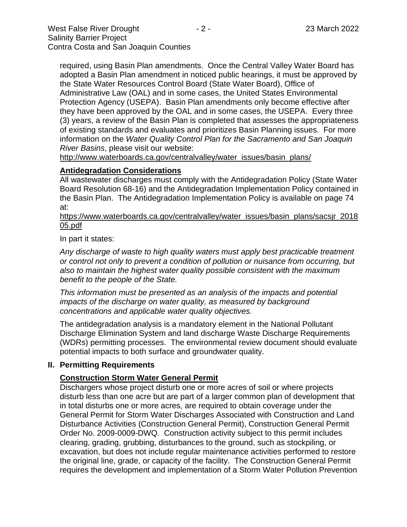required, using Basin Plan amendments. Once the Central Valley Water Board has adopted a Basin Plan amendment in noticed public hearings, it must be approved by the State Water Resources Control Board (State Water Board), Office of Administrative Law (OAL) and in some cases, the United States Environmental Protection Agency (USEPA). Basin Plan amendments only become effective after they have been approved by the OAL and in some cases, the USEPA. Every three (3) years, a review of the Basin Plan is completed that assesses the appropriateness of existing standards and evaluates and prioritizes Basin Planning issues. For more information on the *Water Quality Control Plan for the Sacramento and San Joaquin River Basins*, please visit our website:

[http://www.waterboards.ca.gov/centralvalley/water\\_issues/basin\\_plans/](http://www.waterboards.ca.gov/centralvalley/water_issues/basin_plans/)

# **Antidegradation Considerations**

All wastewater discharges must comply with the Antidegradation Policy (State Water Board Resolution 68-16) and the Antidegradation Implementation Policy contained in the Basin Plan. The Antidegradation Implementation Policy is available on page 74 at:

https://www.waterboards.ca.gov/centralvalley/water\_issues/basin\_plans/sacsjr\_2018 05.pdf

In part it states:

*Any discharge of waste to high quality waters must apply best practicable treatment or control not only to prevent a condition of pollution or nuisance from occurring, but also to maintain the highest water quality possible consistent with the maximum benefit to the people of the State.*

*This information must be presented as an analysis of the impacts and potential impacts of the discharge on water quality, as measured by background concentrations and applicable water quality objectives.*

The antidegradation analysis is a mandatory element in the National Pollutant Discharge Elimination System and land discharge Waste Discharge Requirements (WDRs) permitting processes. The environmental review document should evaluate potential impacts to both surface and groundwater quality.

# **II. Permitting Requirements**

# **Construction Storm Water General Permit**

Dischargers whose project disturb one or more acres of soil or where projects disturb less than one acre but are part of a larger common plan of development that in total disturbs one or more acres, are required to obtain coverage under the General Permit for Storm Water Discharges Associated with Construction and Land Disturbance Activities (Construction General Permit), Construction General Permit Order No. 2009-0009-DWQ. Construction activity subject to this permit includes clearing, grading, grubbing, disturbances to the ground, such as stockpiling, or excavation, but does not include regular maintenance activities performed to restore the original line, grade, or capacity of the facility. The Construction General Permit requires the development and implementation of a Storm Water Pollution Prevention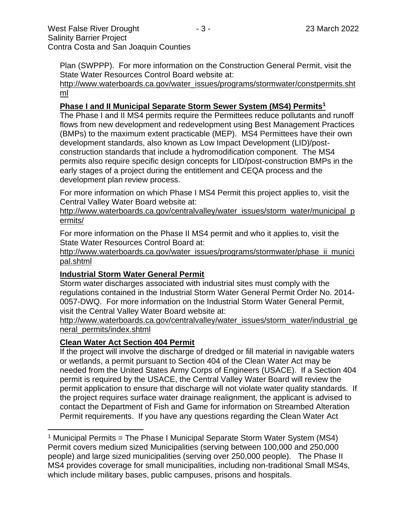Plan (SWPPP). For more information on the Construction General Permit, visit the State Water Resources Control Board website at:

[http://www.waterboards.ca.gov/water\\_issues/programs/stormwater/constpermits.sht](http://www.waterboards.ca.gov/water_issues/programs/stormwater/constpermits.shtml) [ml](http://www.waterboards.ca.gov/water_issues/programs/stormwater/constpermits.shtml)

### **Phase I and II Municipal Separate Storm Sewer System (MS4) Permits<sup>1</sup>**

The Phase I and II MS4 permits require the Permittees reduce pollutants and runoff flows from new development and redevelopment using Best Management Practices (BMPs) to the maximum extent practicable (MEP). MS4 Permittees have their own development standards, also known as Low Impact Development (LID)/postconstruction standards that include a hydromodification component. The MS4 permits also require specific design concepts for LID/post-construction BMPs in the early stages of a project during the entitlement and CEQA process and the development plan review process.

For more information on which Phase I MS4 Permit this project applies to, visit the Central Valley Water Board website at:

http://www.waterboards.ca.gov/centralvalley/water\_issues/storm\_water/municipal\_p ermits/

For more information on the Phase II MS4 permit and who it applies to, visit the State Water Resources Control Board at:

http://www.waterboards.ca.gov/water\_issues/programs/stormwater/phase\_ii\_munici pal.shtml

#### **Industrial Storm Water General Permit**

Storm water discharges associated with industrial sites must comply with the regulations contained in the Industrial Storm Water General Permit Order No. 2014- 0057-DWQ. For more information on the Industrial Storm Water General Permit, visit the Central Valley Water Board website at:

http://www.waterboards.ca.gov/centralvalley/water\_issues/storm\_water/industrial\_ge neral\_permits/index.shtml

#### **Clean Water Act Section 404 Permit**

If the project will involve the discharge of dredged or fill material in navigable waters or wetlands, a permit pursuant to Section 404 of the Clean Water Act may be needed from the United States Army Corps of Engineers (USACE). If a Section 404 permit is required by the USACE, the Central Valley Water Board will review the permit application to ensure that discharge will not violate water quality standards. If the project requires surface water drainage realignment, the applicant is advised to contact the Department of Fish and Game for information on Streambed Alteration Permit requirements. If you have any questions regarding the Clean Water Act

<sup>&</sup>lt;sup>1</sup> Municipal Permits = The Phase I Municipal Separate Storm Water System (MS4) Permit covers medium sized Municipalities (serving between 100,000 and 250,000 people) and large sized municipalities (serving over 250,000 people). The Phase II MS4 provides coverage for small municipalities, including non-traditional Small MS4s, which include military bases, public campuses, prisons and hospitals.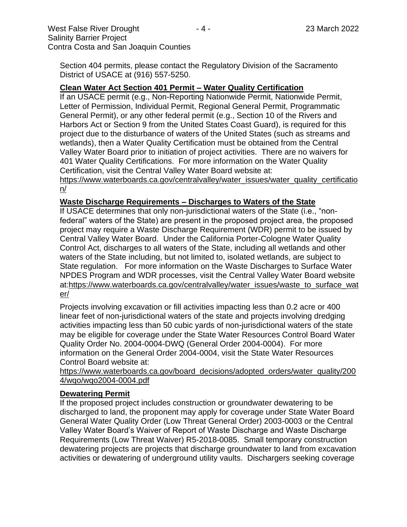Section 404 permits, please contact the Regulatory Division of the Sacramento District of USACE at (916) 557-5250.

#### **Clean Water Act Section 401 Permit – Water Quality Certification**

If an USACE permit (e.g., Non-Reporting Nationwide Permit, Nationwide Permit, Letter of Permission, Individual Permit, Regional General Permit, Programmatic General Permit), or any other federal permit (e.g., Section 10 of the Rivers and Harbors Act or Section 9 from the United States Coast Guard), is required for this project due to the disturbance of waters of the United States (such as streams and wetlands), then a Water Quality Certification must be obtained from the Central Valley Water Board prior to initiation of project activities. There are no waivers for 401 Water Quality Certifications. For more information on the Water Quality Certification, visit the Central Valley Water Board website at:

https://www.waterboards.ca.gov/centralvalley/water\_issues/water\_quality\_certificatio n/

#### **Waste Discharge Requirements – Discharges to Waters of the State**

If USACE determines that only non-jurisdictional waters of the State (i.e., "nonfederal" waters of the State) are present in the proposed project area, the proposed project may require a Waste Discharge Requirement (WDR) permit to be issued by Central Valley Water Board. Under the California Porter-Cologne Water Quality Control Act, discharges to all waters of the State, including all wetlands and other waters of the State including, but not limited to, isolated wetlands, are subject to State regulation. For more information on the Waste Discharges to Surface Water NPDES Program and WDR processes, visit the Central Valley Water Board website at:https://www.waterboards.ca.gov/centralvalley/water\_issues/waste\_to\_surface\_wat er/

Projects involving excavation or fill activities impacting less than 0.2 acre or 400 linear feet of non-jurisdictional waters of the state and projects involving dredging activities impacting less than 50 cubic yards of non-jurisdictional waters of the state may be eligible for coverage under the State Water Resources Control Board Water Quality Order No. 2004-0004-DWQ (General Order 2004-0004). For more information on the General Order 2004-0004, visit the State Water Resources Control Board website at:

https://www.waterboards.ca.gov/board\_decisions/adopted\_orders/water\_quality/200 4/wqo/wqo2004-0004.pdf

#### **Dewatering Permit**

If the proposed project includes construction or groundwater dewatering to be discharged to land, the proponent may apply for coverage under State Water Board General Water Quality Order (Low Threat General Order) 2003-0003 or the Central Valley Water Board's Waiver of Report of Waste Discharge and Waste Discharge Requirements (Low Threat Waiver) R5-2018-0085. Small temporary construction dewatering projects are projects that discharge groundwater to land from excavation activities or dewatering of underground utility vaults. Dischargers seeking coverage